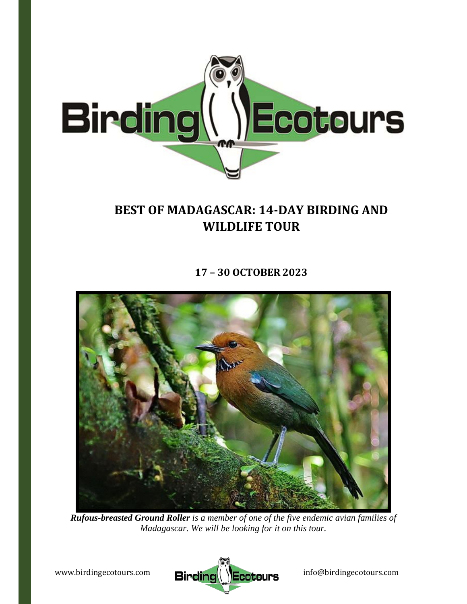

# **BEST OF MADAGASCAR: 14‐DAY BIRDING AND WILDLIFE TOUR**

**17 – 30 OCTOBER 2023**



*Rufous-breasted Ground Roller is a member of one of the five endemic avian families of Madagascar. We will be looking for it on this tour.* 

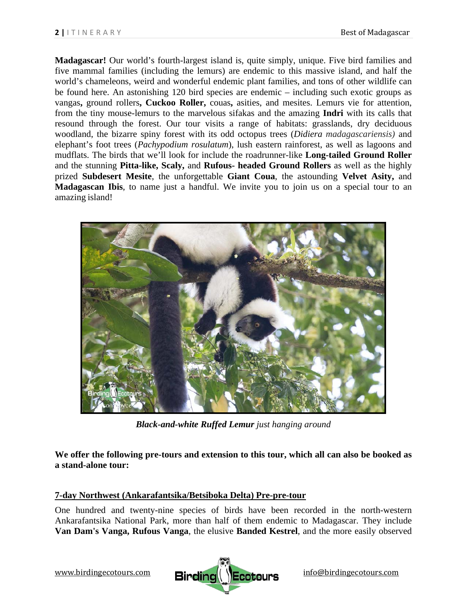**Madagascar!** Our world's fourth-largest island is, quite simply, unique. Five bird families and five mammal families (including the lemurs) are endemic to this massive island, and half the world's chameleons, weird and wonderful endemic plant families, and tons of other wildlife can be found here. An astonishing 120 bird species are endemic – including such exotic groups as vangas**,** ground rollers**, Cuckoo Roller,** couas**,** asities, and mesites. Lemurs vie for attention, from the tiny mouse-lemurs to the marvelous sifakas and the amazing **Indri** with its calls that resound through the forest. Our tour visits a range of habitats: grasslands, dry deciduous woodland, the bizarre spiny forest with its odd octopus trees (*Didiera madagascariensis)* and elephant's foot trees (*Pachypodium rosulatum*), lush eastern rainforest, as well as lagoons and mudflats. The birds that we'll look for include the roadrunner-like **Long-tailed Ground Roller**  and the stunning **Pitta-like, Scaly,** and **Rufous- headed Ground Rollers** as well as the highly prized **Subdesert Mesite**, the unforgettable **Giant Coua**, the astounding **Velvet Asity,** and **Madagascan Ibis**, to name just a handful. We invite you to join us on a special tour to an amazing island!



*Black-and-white Ruffed Lemur just hanging around* 

**We offer the following pre-tours and extension to this tour, which all can also be booked as a stand-alone tour:**

## **7-day Northwest (Ankarafantsika/Betsiboka Delta) Pre-pre-tour**

One hundred and twenty-nine species of birds have been recorded in the north-western Ankarafantsika National Park, more than half of them endemic to Madagascar. They include **Van Dam's Vanga, Rufous Vanga**, the elusive **Banded Kestrel**, and the more easily observed

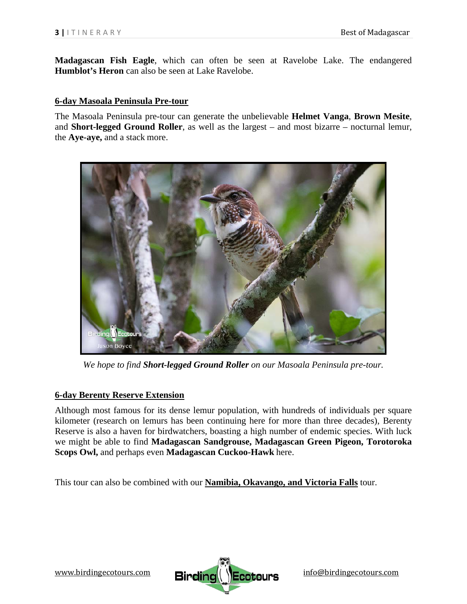**Madagascan Fish Eagle**, which can often be seen at Ravelobe Lake. The endangered **Humblot's Heron** can also be seen at Lake Ravelobe.

#### **6-day Masoala Peninsula Pre-tour**

The Masoala Peninsula pre-tour can generate the unbelievable **Helmet Vanga**, **Brown Mesite**, and **Short-legged Ground Roller**, as well as the largest – and most bizarre – nocturnal lemur, the **Aye-aye,** and a stack more.



*We hope to find Short-legged Ground Roller on our Masoala Peninsula pre-tour.* 

#### **6-day Berenty Reserve Extension**

Although most famous for its dense lemur population, with hundreds of individuals per square kilometer (research on lemurs has been continuing here for more than three decades), Berenty Reserve is also a haven for birdwatchers, boasting a high number of endemic species. With luck we might be able to find **Madagascan Sandgrouse, Madagascan Green Pigeon, Torotoroka Scops Owl,** and perhaps even **Madagascan Cuckoo-Hawk** here.

This tour can also be combined with our **Namibia, Okavango, and Victoria Falls** tour.



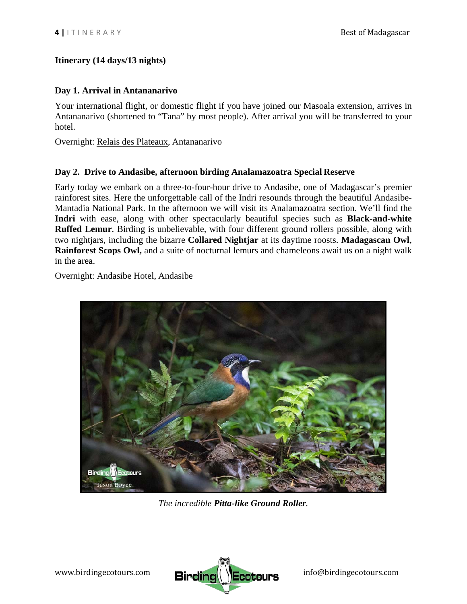# **Itinerary (14 days/13 nights)**

# **Day 1. Arrival in Antananarivo**

Your international flight, or domestic flight if you have joined our Masoala extension, arrives in Antananarivo (shortened to "Tana" by most people). After arrival you will be transferred to your hotel.

Overnight: Relais des Plateaux, Antananarivo

# **Day 2. Drive to Andasibe, afternoon birding Analamazoatra Special Reserve**

Early today we embark on a three-to-four-hour drive to Andasibe, one of Madagascar's premier rainforest sites. Here the unforgettable call of the Indri resounds through the beautiful Andasibe-Mantadia National Park. In the afternoon we will visit its Analamazoatra section. We'll find the **Indri** with ease, along with other spectacularly beautiful species such as **Black-and-white Ruffed Lemur**. Birding is unbelievable, with four different ground rollers possible, along with two nightjars, including the bizarre **Collared Nightjar** at its daytime roosts. **Madagascan Owl**, **Rainforest Scops Owl,** and a suite of nocturnal lemurs and chameleons await us on a night walk in the area.

Overnight: Andasibe Hotel, Andasibe



*The incredible Pitta-like Ground Roller.*

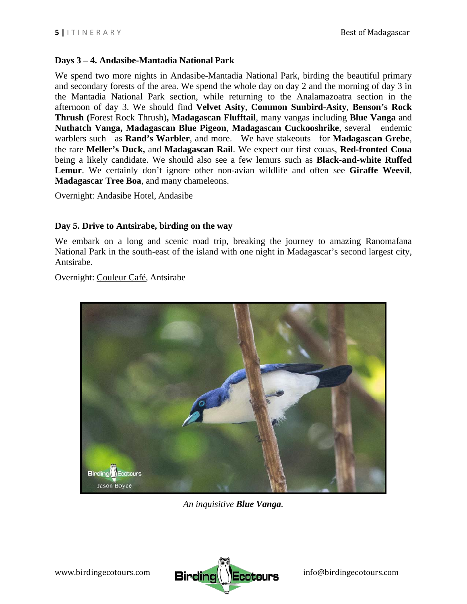## **Days 3 – 4. Andasibe-Mantadia National Park**

We spend two more nights in Andasibe-Mantadia National Park, birding the beautiful primary and secondary forests of the area. We spend the whole day on day 2 and the morning of day 3 in the Mantadia National Park section, while returning to the Analamazoatra section in the afternoon of day 3. We should find **Velvet Asity**, **Common Sunbird-Asity**, **Benson's Rock Thrush (**Forest Rock Thrush)**, Madagascan Flufftail**, many vangas including **Blue Vanga** and **Nuthatch Vanga, Madagascan Blue Pigeon**, **Madagascan Cuckooshrike**, several endemic warblers such as **Rand's Warbler**, and more. We have stakeouts for **Madagascan Grebe**, the rare **Meller's Duck,** and **Madagascan Rail**. We expect our first couas, **Red-fronted Coua**  being a likely candidate. We should also see a few lemurs such as **Black-and-white Ruffed Lemur**. We certainly don't ignore other non-avian wildlife and often see **Giraffe Weevil**, **Madagascar Tree Boa**, and many chameleons.

Overnight: Andasibe Hotel, Andasibe

#### **Day 5. Drive to Antsirabe, birding on the way**

We embark on a long and scenic road trip, breaking the journey to amazing Ranomafana National Park in the south-east of the island with one night in Madagascar's second largest city, Antsirabe.

Overnight: Couleur Café, Antsirabe



*An inquisitive Blue Vanga.* 

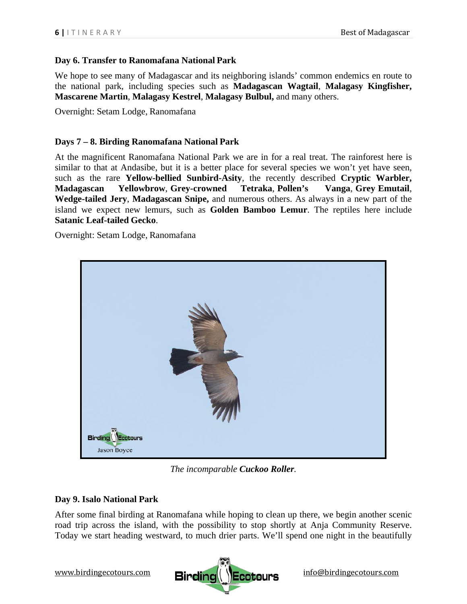#### **Day 6. Transfer to Ranomafana National Park**

We hope to see many of Madagascar and its neighboring islands' common endemics en route to the national park, including species such as **Madagascan Wagtail**, **Malagasy Kingfisher, Mascarene Martin**, **Malagasy Kestrel**, **Malagasy Bulbul,** and many others.

Overnight: Setam Lodge, Ranomafana

#### **Days 7 – 8. Birding Ranomafana National Park**

At the magnificent Ranomafana National Park we are in for a real treat. The rainforest here is similar to that at Andasibe, but it is a better place for several species we won't yet have seen, such as the rare **Yellow-bellied Sunbird-Asity**, the recently described **Cryptic Warbler, Madagascan Yellowbrow**, **Grey-crowned Tetraka**, **Pollen's Vanga**, **Grey Emutail**, **Wedge-tailed Jery**, **Madagascan Snipe,** and numerous others. As always in a new part of the island we expect new lemurs, such as **Golden Bamboo Lemur**. The reptiles here include **Satanic Leaf-tailed Gecko**.

Overnight: Setam Lodge, Ranomafana



*The incomparable Cuckoo Roller.* 

## **Day 9. Isalo National Park**

After some final birding at Ranomafana while hoping to clean up there, we begin another scenic road trip across the island, with the possibility to stop shortly at Anja Community Reserve. Today we start heading westward, to much drier parts. We'll spend one night in the beautifully

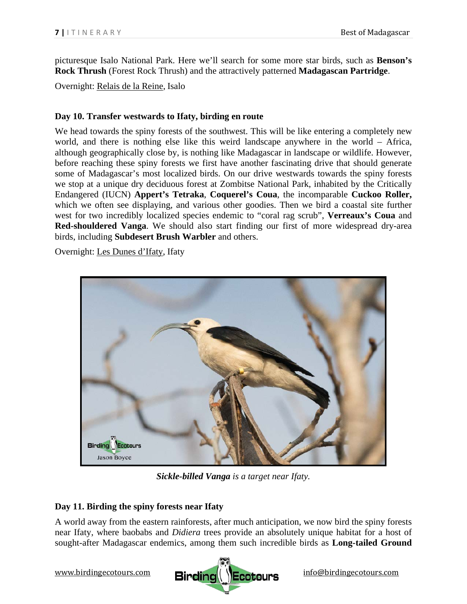picturesque Isalo National Park. Here we'll search for some more star birds, such as **Benson's Rock Thrush** (Forest Rock Thrush) and the attractively patterned **Madagascan Partridge**.

Overnight: Relais de la Reine, Isalo

## **Day 10. Transfer westwards to Ifaty, birding en route**

We head towards the spiny forests of the southwest. This will be like entering a completely new world, and there is nothing else like this weird landscape anywhere in the world – Africa, although geographically close by, is nothing like Madagascar in landscape or wildlife. However, before reaching these spiny forests we first have another fascinating drive that should generate some of Madagascar's most localized birds. On our drive westwards towards the spiny forests we stop at a unique dry deciduous forest at Zombitse National Park, inhabited by the Critically Endangered (IUCN) **Appert's Tetraka**, **Coquerel's Coua**, the incomparable **Cuckoo Roller,**  which we often see displaying, and various other goodies. Then we bird a coastal site further west for two incredibly localized species endemic to "coral rag scrub", **Verreaux's Coua** and **Red-shouldered Vanga**. We should also start finding our first of more widespread dry-area birds, including **Subdesert Brush Warbler** and others.

Overnight: Les Dunes d'Ifaty, Ifaty



*Sickle-billed Vanga is a target near Ifaty.* 

## **Day 11. Birding the spiny forests near Ifaty**

A world away from the eastern rainforests, after much anticipation, we now bird the spiny forests near Ifaty, where baobabs and *Didiera* trees provide an absolutely unique habitat for a host of sought-after Madagascar endemics, among them such incredible birds as **Long-tailed Ground** 

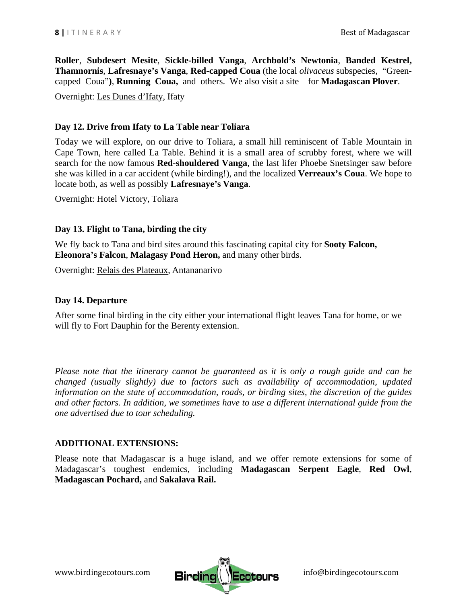**Roller**, **Subdesert Mesite**, **Sickle-billed Vanga**, **Archbold's Newtonia**, **Banded Kestrel, Thamnornis**, **Lafresnaye's Vanga**, **Red-capped Coua** (the local *olivaceus* subspecies, "Greencapped Coua"**)**, **Running Coua,** and others. We also visit a site for **Madagascan Plover**.

Overnight: Les Dunes d'Ifaty, Ifaty

#### **Day 12. Drive from Ifaty to La Table near Toliara**

Today we will explore, on our drive to Toliara, a small hill reminiscent of Table Mountain in Cape Town, here called La Table. Behind it is a small area of scrubby forest, where we will search for the now famous **Red-shouldered Vanga**, the last lifer Phoebe Snetsinger saw before she was killed in a car accident (while birding!), and the localized **Verreaux's Coua**. We hope to locate both, as well as possibly **Lafresnaye's Vanga**.

Overnight: Hotel Victory, Toliara

#### **Day 13. Flight to Tana, birding the city**

We fly back to Tana and bird sites around this fascinating capital city for **Sooty Falcon, Eleonora's Falcon**, **Malagasy Pond Heron,** and many other birds.

Overnight: Relais des Plateaux, Antananarivo

#### **Day 14. Departure**

After some final birding in the city either your international flight leaves Tana for home, or we will fly to Fort Dauphin for the Berenty extension.

*Please note that the itinerary cannot be guaranteed as it is only a rough guide and can be changed (usually slightly) due to factors such as availability of accommodation, updated information on the state of accommodation, roads, or birding sites, the discretion of the guides and other factors. In addition, we sometimes have to use a different international guide from the one advertised due to tour scheduling.* 

#### **ADDITIONAL EXTENSIONS:**

Please note that Madagascar is a huge island, and we offer remote extensions for some of Madagascar's toughest endemics, including **Madagascan Serpent Eagle**, **Red Owl**, **Madagascan Pochard,** and **Sakalava Rail.**